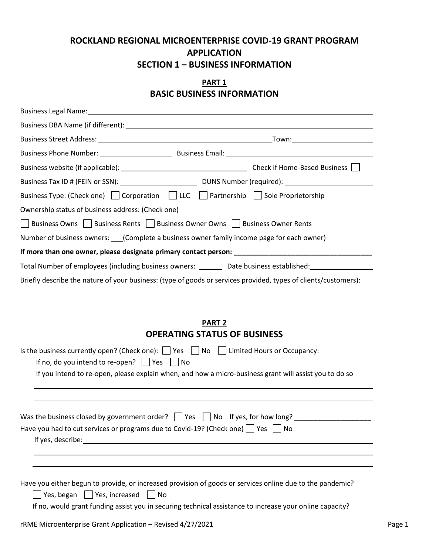# **ROCKLAND REGIONAL MICROENTERPRISE COVID-19 GRANT PROGRAM APPLICATION SECTION 1 – BUSINESS INFORMATION**

#### **PART 1 BASIC BUSINESS INFORMATION**

| Business Type: (Check one) $\Box$ Corporation $\Box$ LLC $\Box$ Partnership $\Box$ Sole Proprietorship                                                                                                                                                                                      |
|---------------------------------------------------------------------------------------------------------------------------------------------------------------------------------------------------------------------------------------------------------------------------------------------|
| Ownership status of business address: (Check one)                                                                                                                                                                                                                                           |
| Business Owns     Business Rents     Business Owner Owns     Business Owner Rents                                                                                                                                                                                                           |
| Number of business owners: ____(Complete a business owner family income page for each owner)                                                                                                                                                                                                |
|                                                                                                                                                                                                                                                                                             |
| Total Number of employees (including business owners: _______ Date business established: ___________                                                                                                                                                                                        |
| Briefly describe the nature of your business: (type of goods or services provided, types of clients/customers):                                                                                                                                                                             |
| <b>OPERATING STATUS OF BUSINESS</b><br>Is the business currently open? (Check one): Ves No I Limited Hours or Occupancy:<br>If no, do you intend to re-open? $\Box$ Yes $\Box$ No<br>If you intend to re-open, please explain when, and how a micro-business grant will assist you to do so |
| Have you had to cut services or programs due to Covid-19? (Check one)   Yes   No                                                                                                                                                                                                            |
| Have you either begun to provide, or increased provision of goods or services online due to the pandemic?<br>$\Box$ Yes, began $\Box$ Yes, increased $\Box$ No<br>If no, would grant funding assist you in securing technical assistance to increase your online capacity?                  |
| rRME Microenterprise Grant Application - Revised 4/27/2021                                                                                                                                                                                                                                  |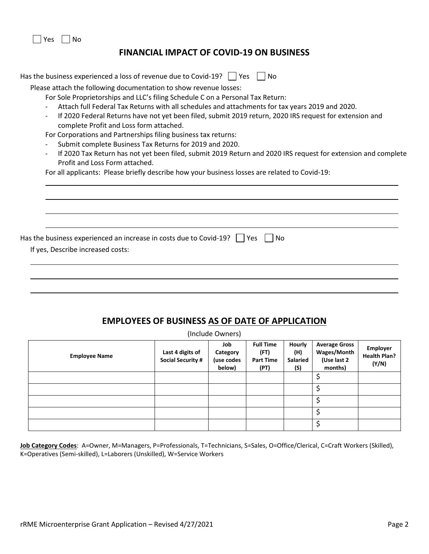Yes No

### **FINANCIAL IMPACT OF COVID-19 ON BUSINESS**

## **EMPLOYEES OF BUSINESS AS OF DATE OF APPLICATION**

(Include Owners)

| <b>Employee Name</b> | Last 4 digits of<br><b>Social Security #</b> | Job<br>Category<br>(use codes<br>below) | <b>Full Time</b><br>(FT)<br><b>Part Time</b><br>(PT) | Hourly<br>(H)<br>Salaried<br>(S) | <b>Average Gross</b><br>Wages/Month<br>(Use last 2<br>months) | <b>Employer</b><br><b>Health Plan?</b><br>(Y/N) |
|----------------------|----------------------------------------------|-----------------------------------------|------------------------------------------------------|----------------------------------|---------------------------------------------------------------|-------------------------------------------------|
|                      |                                              |                                         |                                                      |                                  |                                                               |                                                 |
|                      |                                              |                                         |                                                      |                                  |                                                               |                                                 |
|                      |                                              |                                         |                                                      |                                  |                                                               |                                                 |
|                      |                                              |                                         |                                                      |                                  |                                                               |                                                 |
|                      |                                              |                                         |                                                      |                                  |                                                               |                                                 |

**Job Category Codes**: A=Owner, M=Managers, P=Professionals, T=Technicians, S=Sales, O=Office/Clerical, C=Craft Workers (Skilled), K=Operatives (Semi-skilled), L=Laborers (Unskilled), W=Service Workers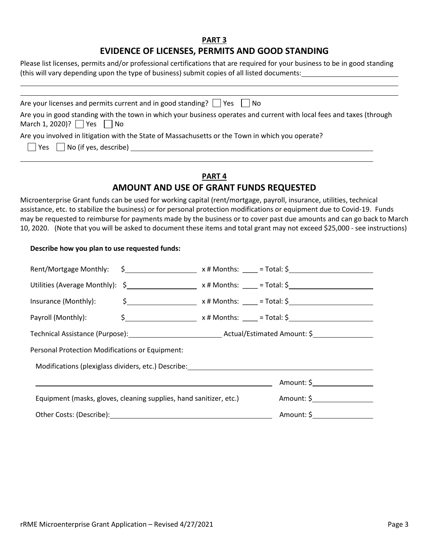#### **PART 3 EVIDENCE OF LICENSES, PERMITS AND GOOD STANDING**

Please list licenses, permits and/or professional certifications that are required for your business to be in good standing (this will vary depending upon the type of business) submit copies of all listed documents:

| Are your licenses and permits current and in good standing? $\Box$ Yes $\Box$ No                                                                              |
|---------------------------------------------------------------------------------------------------------------------------------------------------------------|
| Are you in good standing with the town in which your business operates and current with local fees and taxes (through<br>March 1, 2020)? $\Box$ Yes $\Box$ No |
| Are you involved in litigation with the State of Massachusetts or the Town in which you operate?<br>$\Box$ Yes $\Box$ No (if yes, describe)                   |

### **PART 4 AMOUNT AND USE OF GRANT FUNDS REQUESTED**

Microenterprise Grant funds can be used for working capital (rent/mortgage, payroll, insurance, utilities, technical assistance, etc. to stabilize the business) or for personal protection modifications or equipment due to Covid-19. Funds may be requested to reimburse for payments made by the business or to cover past due amounts and can go back to March 10, 2020. (Note that you will be asked to document these items and total grant may not exceed \$25,000 - see instructions)

#### **Describe how you plan to use requested funds:**

| Rent/Mortgage Monthly: $\quad \simeq$ $\qquad \qquad$ x # Months: ___ = Total: \$______________                 |                                                       |
|-----------------------------------------------------------------------------------------------------------------|-------------------------------------------------------|
| Utilities (Average Monthly): $\frac{2}{5}$ x # Months: ____ = Total: $\frac{2}{5}$                              |                                                       |
| Insurance (Monthly):                                                                                            | $\frac{1}{2}$ x # Months: ____ = Total: $\frac{1}{2}$ |
| Payroll (Monthly):                                                                                              | $\frac{1}{2}$ x # Months: ____ = Total: $\frac{1}{2}$ |
|                                                                                                                 |                                                       |
| Personal Protection Modifications or Equipment:                                                                 |                                                       |
| Modifications (plexiglass dividers, etc.) Describe: ____________________________                                |                                                       |
|                                                                                                                 | Amount: $\oint$                                       |
| Equipment (masks, gloves, cleaning supplies, hand sanitizer, etc.)                                              |                                                       |
| Other Costs: (Describe): Quantity of the Costs of Costs and Costs of Costs and Costs and Costs and Costs and Co | Amount: \$                                            |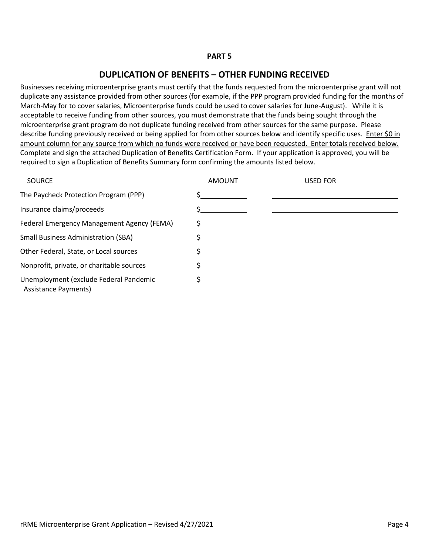#### **DUPLICATION OF BENEFITS – OTHER FUNDING RECEIVED**

Businesses receiving microenterprise grants must certify that the funds requested from the microenterprise grant will not duplicate any assistance provided from other sources (for example, if the PPP program provided funding for the months of March-May for to cover salaries, Microenterprise funds could be used to cover salaries for June-August). While it is acceptable to receive funding from other sources, you must demonstrate that the funds being sought through the microenterprise grant program do not duplicate funding received from other sources for the same purpose. Please describe funding previously received or being applied for from other sources below and identify specific uses. Enter \$0 in amount column for any source from which no funds were received or have been requested. Enter totals received below. Complete and sign the attached Duplication of Benefits Certification Form. If your application is approved, you will be required to sign a Duplication of Benefits Summary form confirming the amounts listed below.

| <b>SOURCE</b>                                                  | <b>AMOUNT</b> | <b>USED FOR</b> |
|----------------------------------------------------------------|---------------|-----------------|
| The Paycheck Protection Program (PPP)                          |               |                 |
| Insurance claims/proceeds                                      |               |                 |
| Federal Emergency Management Agency (FEMA)                     |               |                 |
| <b>Small Business Administration (SBA)</b>                     |               |                 |
| Other Federal, State, or Local sources                         |               |                 |
| Nonprofit, private, or charitable sources                      |               |                 |
| Unemployment (exclude Federal Pandemic<br>Assistance Payments) |               |                 |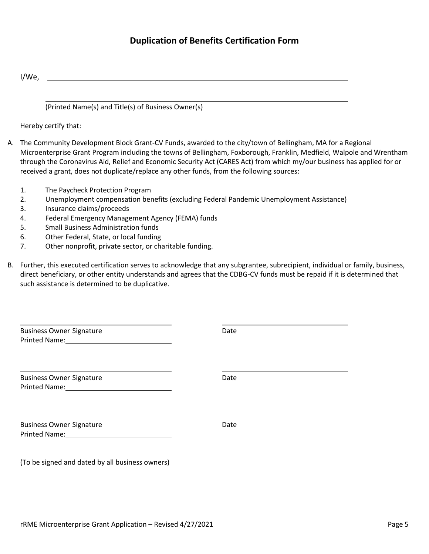## **Duplication of Benefits Certification Form**

I/We,

(Printed Name(s) and Title(s) of Business Owner(s)

Hereby certify that:

- A. The Community Development Block Grant-CV Funds, awarded to the city/town of Bellingham, MA for a Regional Microenterprise Grant Program including the towns of Bellingham, Foxborough, Franklin, Medfield, Walpole and Wrentham through the Coronavirus Aid, Relief and Economic Security Act (CARES Act) from which my/our business has applied for or received a grant, does not duplicate/replace any other funds, from the following sources:
	- 1. The Paycheck Protection Program
	- 2. Unemployment compensation benefits (excluding Federal Pandemic Unemployment Assistance)
	- 3. Insurance claims/proceeds
	- 4. Federal Emergency Management Agency (FEMA) funds
	- 5. Small Business Administration funds
	- 6. Other Federal, State, or local funding
	- 7. Other nonprofit, private sector, or charitable funding.
- B. Further, this executed certification serves to acknowledge that any subgrantee, subrecipient, individual or family, business, direct beneficiary, or other entity understands and agrees that the CDBG-CV funds must be repaid if it is determined that such assistance is determined to be duplicative.

| <b>Business Owner Signature</b>                                                                                                                   | Date |
|---------------------------------------------------------------------------------------------------------------------------------------------------|------|
| <b>Business Owner Signature</b><br>Printed Name: Name: Name and Separate School and Separate School and Separate School and Separate School and S | Date |
| <b>Business Owner Signature</b>                                                                                                                   | Date |
| (To be signed and dated by all business owners)                                                                                                   |      |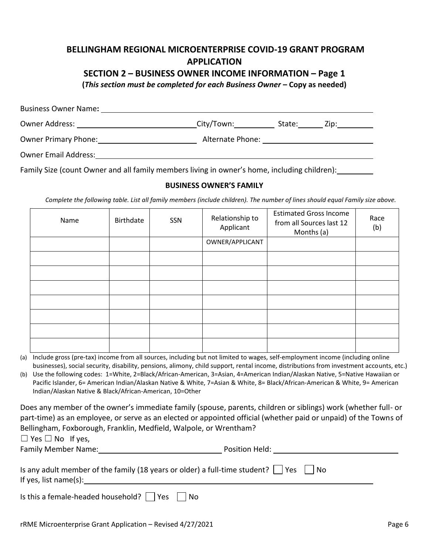# **BELLINGHAM REGIONAL MICROENTERPRISE COVID-19 GRANT PROGRAM APPLICATION**

### **SECTION 2 – BUSINESS OWNER INCOME INFORMATION – Page 1**

**(***This section must be completed for each Business Owner* **– Copy as needed)**

| Business Owner Name:                                                                                                                                                                                                          |                      |                         |  |
|-------------------------------------------------------------------------------------------------------------------------------------------------------------------------------------------------------------------------------|----------------------|-------------------------|--|
| Owner Address: The Company of the Company of the Company of the Company of the Company of the Company of the Company of the Company of the Company of the Company of the Company of the Company of the Company of the Company | City/Town:__________ | State: <u>Zip:</u> Zip: |  |
| <b>Owner Primary Phone:</b>                                                                                                                                                                                                   | Alternate Phone:     |                         |  |
| <b>Owner Email Address:</b>                                                                                                                                                                                                   |                      |                         |  |
| Family Size (count Owner and all family members living in owner's home, including children):                                                                                                                                  |                      |                         |  |

#### **BUSINESS OWNER'S FAMILY**

*Complete the following table. List all family members (include children). The number of lines should equal Family size above.*

| Name | Birthdate | SSN | Relationship to<br>Applicant | <b>Estimated Gross Income</b><br>from all Sources last 12<br>Months (a) | Race<br>(b) |
|------|-----------|-----|------------------------------|-------------------------------------------------------------------------|-------------|
|      |           |     | OWNER/APPLICANT              |                                                                         |             |
|      |           |     |                              |                                                                         |             |
|      |           |     |                              |                                                                         |             |
|      |           |     |                              |                                                                         |             |
|      |           |     |                              |                                                                         |             |
|      |           |     |                              |                                                                         |             |
|      |           |     |                              |                                                                         |             |
|      |           |     |                              |                                                                         |             |

| (a) Include gross (pre-tax) income from all sources, including but not limited to wages, self-employment income (including online        |
|------------------------------------------------------------------------------------------------------------------------------------------|
| businesses), social security, disability, pensions, alimony, child support, rental income, distributions from investment accounts, etc.) |

(b) Use the following codes: 1=White, 2=Black/African-American, 3=Asian, 4=American Indian/Alaskan Native, 5=Native Hawaiian or Pacific Islander, 6= American Indian/Alaskan Native & White, 7=Asian & White, 8= Black/African-American & White, 9= American Indian/Alaskan Native & Black/African-American, 10=Other

Does any member of the owner's immediate family (spouse, parents, children or siblings) work (whether full- or part-time) as an employee, or serve as an elected or appointed official (whether paid or unpaid) of the Towns of Bellingham, Foxborough, Franklin, Medfield, Walpole, or Wrentham?

 $\Box$  Yes  $\Box$  No If yes,

Family Member Name: The Contract of the Position Held: Position Held:

| Is any adult member of the family (18 years or older) a full-time student? $\Box$ Yes $\Box$ No |  |
|-------------------------------------------------------------------------------------------------|--|
| If yes, list name(s):                                                                           |  |

| Is this a female-headed household? $\Box$ Yes $\Box$ No |  |  |
|---------------------------------------------------------|--|--|
|---------------------------------------------------------|--|--|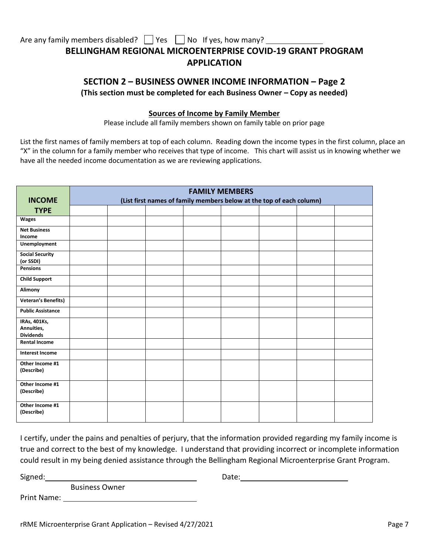Are any family members disabled?  $\Box$  Yes  $\Box$  No If yes, how many?

# **BELLINGHAM REGIONAL MICROENTERPRISE COVID-19 GRANT PROGRAM APPLICATION**

## **SECTION 2 – BUSINESS OWNER INCOME INFORMATION – Page 2 (This section must be completed for each Business Owner – Copy as needed)**

#### **Sources of Income by Family Member**

Please include all family members shown on family table on prior page

List the first names of family members at top of each column. Reading down the income types in the first column, place an "X" in the column for a family member who receives that type of income. This chart will assist us in knowing whether we have all the needed income documentation as we are reviewing applications.

|                                                | <b>FAMILY MEMBERS</b>                                                |  |  |  |  |  |  |  |
|------------------------------------------------|----------------------------------------------------------------------|--|--|--|--|--|--|--|
| <b>INCOME</b>                                  | (List first names of family members below at the top of each column) |  |  |  |  |  |  |  |
| <b>TYPE</b>                                    |                                                                      |  |  |  |  |  |  |  |
| <b>Wages</b>                                   |                                                                      |  |  |  |  |  |  |  |
| <b>Net Business</b><br>Income                  |                                                                      |  |  |  |  |  |  |  |
| Unemployment                                   |                                                                      |  |  |  |  |  |  |  |
| <b>Social Security</b><br>(or SSDI)            |                                                                      |  |  |  |  |  |  |  |
| <b>Pensions</b>                                |                                                                      |  |  |  |  |  |  |  |
| <b>Child Support</b>                           |                                                                      |  |  |  |  |  |  |  |
| Alimony                                        |                                                                      |  |  |  |  |  |  |  |
| <b>Veteran's Benefits)</b>                     |                                                                      |  |  |  |  |  |  |  |
| <b>Public Assistance</b>                       |                                                                      |  |  |  |  |  |  |  |
| IRAs, 401Ks,<br>Annuities,<br><b>Dividends</b> |                                                                      |  |  |  |  |  |  |  |
| <b>Rental Income</b>                           |                                                                      |  |  |  |  |  |  |  |
| <b>Interest Income</b>                         |                                                                      |  |  |  |  |  |  |  |
| Other Income #1<br>(Describe)                  |                                                                      |  |  |  |  |  |  |  |
| Other Income #1<br>(Describe)                  |                                                                      |  |  |  |  |  |  |  |
| Other Income #1<br>(Describe)                  |                                                                      |  |  |  |  |  |  |  |

I certify, under the pains and penalties of perjury, that the information provided regarding my family income is true and correct to the best of my knowledge. I understand that providing incorrect or incomplete information could result in my being denied assistance through the Bellingham Regional Microenterprise Grant Program.

Signed: Signed: Calculation of the Calculation of the Date: Date: Calculation of the Date: Calculation of the Date: Calculation of the Date: Calculation of the Date: Calculation of the Date: Calculation of the Date: Calcul

Business Owner

Print Name: